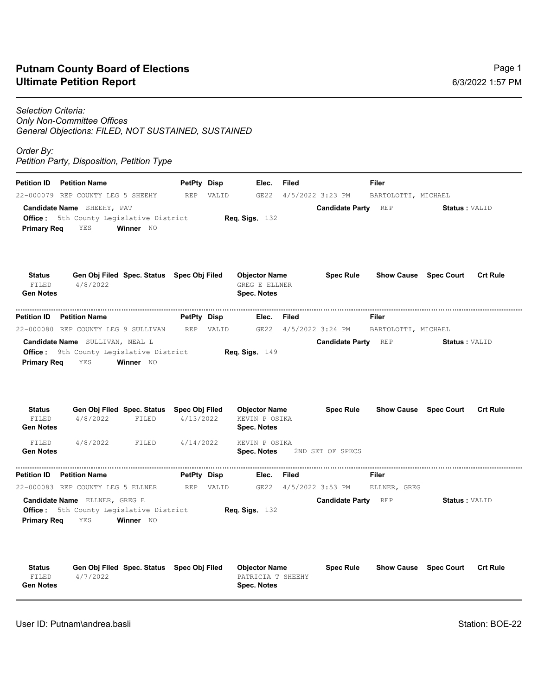## **Ultimate Petition Report Putnam County Board of Elections**

## *Selection Criteria: Only Non-Committee Offices General Objections: FILED, NOT SUSTAINED, SUSTAINED*

*Order By:* 

*Petition Party, Disposition, Petition Type*

| <b>Petition ID</b>                         | <b>Petition Name</b>                                                                                                                         |           | PetPty Disp |       | Elec.                                                              | Filed |                                                | Filer               |                                                      |                 |
|--------------------------------------------|----------------------------------------------------------------------------------------------------------------------------------------------|-----------|-------------|-------|--------------------------------------------------------------------|-------|------------------------------------------------|---------------------|------------------------------------------------------|-----------------|
|                                            | 22-000079 REP COUNTY LEG 5 SHEEHY                                                                                                            |           | <b>REP</b>  | VALID | GE22                                                               |       | 4/5/2022 3:23 PM                               | BARTOLOTTI, MICHAEL |                                                      |                 |
| <b>Primary Reg</b>                         | <b>Candidate Name</b> SHEEHY, PAT<br>Office: 5th County Legislative District<br>YES                                                          | Winner NO |             |       | <b>Req. Sigs.</b> 132                                              |       | <b>Candidate Party REP</b>                     |                     | <b>Status : VALID</b>                                |                 |
| <b>Status</b><br>FILED<br><b>Gen Notes</b> | Gen Obj Filed Spec. Status Spec Obj Filed<br>4/8/2022                                                                                        |           |             |       | <b>Objector Name</b><br><b>GREG E ELLNER</b><br><b>Spec. Notes</b> |       | <b>Spec Rule</b>                               |                     | <b>Show Cause Spec Court</b>                         | <b>Crt Rule</b> |
| Petition ID                                | <b>Petition Name</b>                                                                                                                         |           | PetPty Disp |       | Elec.                                                              | Filed |                                                | Filer               |                                                      |                 |
|                                            | 22-000080 REP COUNTY LEG 9 SULLIVAN                                                                                                          |           | <b>REP</b>  | VALID | GE22                                                               |       | $4/5/2022$ 3:24 PM                             | BARTOLOTTI, MICHAEL |                                                      |                 |
| <b>Primary Reg</b><br><b>Status</b>        | <b>Candidate Name</b> SULLIVAN, NEAL L<br><b>Office:</b> 9th County Legislative District<br>YES<br>Gen Obj Filed Spec. Status Spec Obj Filed | Winner NO |             |       | Req. Sigs. $149$<br><b>Objector Name</b>                           |       | <b>Candidate Party REP</b><br><b>Spec Rule</b> |                     | <b>Status: VALID</b><br><b>Show Cause Spec Court</b> | <b>Crt Rule</b> |
| FILED<br><b>Gen Notes</b>                  | 4/8/2022                                                                                                                                     | FILED     | 4/13/2022   |       | KEVIN P OSIKA<br><b>Spec. Notes</b>                                |       |                                                |                     |                                                      |                 |
| FILED<br><b>Gen Notes</b>                  | 4/8/2022                                                                                                                                     | FILED     | 4/14/2022   |       | KEVIN P OSIKA<br>Spec. Notes                                       |       | 2ND SET OF SPECS                               |                     |                                                      |                 |
| Petition ID                                | <b>Petition Name</b>                                                                                                                         |           | PetPty Disp |       | Elec.                                                              | Filed |                                                | Filer               |                                                      |                 |
|                                            | 22-000083 REP COUNTY LEG 5 ELLNER                                                                                                            |           | REP         | VALID | GE22                                                               |       | 4/5/2022 3:53 PM                               | ELLNER, GREG        |                                                      |                 |
| <b>Primary Reg</b>                         | <b>Candidate Name</b> ELLNER, GREG E<br>Office: 5th County Legislative District<br>YES                                                       | Winner NO |             |       | Reg. Sigs. $132$                                                   |       | <b>Candidate Party REP</b>                     |                     | <b>Status: VALID</b>                                 |                 |
| <b>Status</b><br>FILED<br><b>Gen Notes</b> | Gen Obj Filed Spec. Status Spec Obj Filed<br>4/7/2022                                                                                        |           |             |       | <b>Objector Name</b><br>PATRICIA T SHEEHY<br><b>Spec. Notes</b>    |       | <b>Spec Rule</b>                               |                     | <b>Show Cause Spec Court</b>                         | <b>Crt Rule</b> |